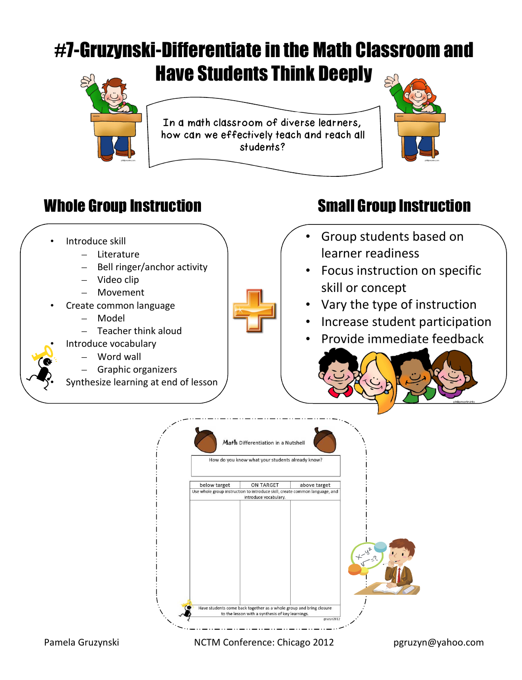## #7-Gruzynski-Differentiate in the Math Classroom and Have Students Think Deeply



In a math classroom of diverse learners, how can we effectively teach and reach all students?



### Whole Group Instruction Small Group Instruction



Have students come back together as a whole group and bring closure to the lesson with a synthesis of key learnings.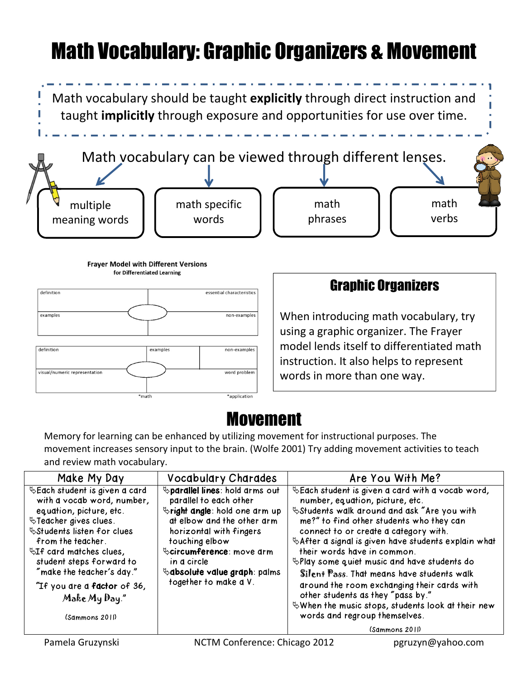# Math Vocabulary: Graphic Organizers & Movement

Math vocabulary should be taught **explicitly** through direct instruction and taught **implicitly** through exposure and opportunities for use over time.



**Fraver Model with Different Versions** for Differentiated Learning



#### Graphic Organizers

When introducing math vocabulary, try using a graphic organizer. The Frayer model lends itself to differentiated math instruction. It also helps to represent words in more than one way.

### Movement

Memory for learning can be enhanced by utilizing movement for instructional purposes. The movement increases sensory input to the brain. (Wolfe 2001) Try adding movement activities to teach and review math vocabulary.

| Make My Day                                                                                                                                                                                                                                                                              | <b>Vocabulary Charades</b>                                                                                                                                                                                                                                                                  | Are You With Me?                                                                                                                                                                                                                                                                                                                                                                                                                                                                                                                                                                                                                    |
|------------------------------------------------------------------------------------------------------------------------------------------------------------------------------------------------------------------------------------------------------------------------------------------|---------------------------------------------------------------------------------------------------------------------------------------------------------------------------------------------------------------------------------------------------------------------------------------------|-------------------------------------------------------------------------------------------------------------------------------------------------------------------------------------------------------------------------------------------------------------------------------------------------------------------------------------------------------------------------------------------------------------------------------------------------------------------------------------------------------------------------------------------------------------------------------------------------------------------------------------|
| with a vocab word, number,<br>equation, picture, etc.<br><sup>₹</sup> Teacher gives clues.<br>from the teacher.<br>$\mathbb{Q}I$ f card matches clues,<br>student steps forward to<br>"make the teacher's day."<br>"If you are a <b>factor</b> of 36,<br>Make My Day."<br>(Sammons 2011) | <b>Sparallel lines:</b> hold arms out<br>parallel to each other<br><b>Stright angle:</b> hold one arm up<br>at elbow and the other arm<br>horizontal with fingers<br>touching elbow<br>Scircumference: move drm<br>in a circle<br>$\&$ absolute value graph: palms<br>together to make a V. | $\&$ Each student is given a card with a vocab word,<br>number, equation, picture, etc.<br>Students walk around and ask "Are you with<br>me?" to find other students who they can<br>connect to or create a category with.<br>& After a signal is given have students explain what<br>their words have in common.<br>$\mathbb{R}$ Play some quiet music and have students do<br>Silent Pass. That means have students walk<br>around the room exchanging their cards with<br>other students as they "pass by."<br>$\mathcal{L}$ When the music stops, students look at their new<br>words and regroup themselves.<br>(Sammons 2011) |